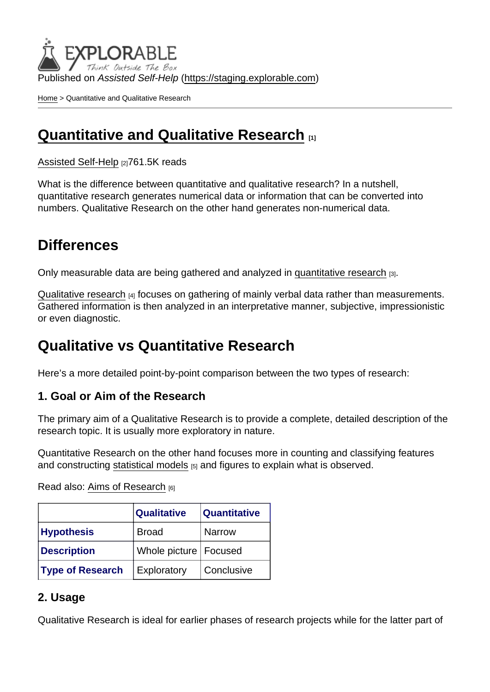Published on Assisted Self-Help [\(https://staging.explorable.com](https://staging.explorable.com))

[Home](https://staging.explorable.com/en) > Quantitative and Qualitative Research

### [Quantitative and Qualitative Research](https://staging.explorable.com/en/quantitative-and-qualitative-research) [1]

[Assisted Self-Help](https://staging.explorable.com/en) [2]761.5K reads

What is the difference between quantitative and qualitative research? In a nutshell, quantitative research generates numerical data or information that can be converted into numbers. Qualitative Research on the other hand generates non-numerical data.

## **Differences**

Only measurable data are being gathered and analyzed in [quantitative research](https://staging.explorable.com/quantitative-research-design) [3].

[Qualitative research](https://staging.explorable.com/qualitative-research-design) [4] focuses on gathering of mainly verbal data rather than measurements. Gathered information is then analyzed in an interpretative manner, subjective, impressionistic or even diagnostic.

### Qualitative vs Quantitative Research

Here's a more detailed point-by-point comparison between the two types of research:

1. Goal or Aim of the Research

The primary aim of a Qualitative Research is to provide a complete, detailed description of the research topic. It is usually more exploratory in nature.

Quantitative Research on the other hand focuses more in counting and classifying features and constructing [statistical models](https://staging.explorable.com/statistics-tutorial)  $[5]$  and figures to explain what is observed.

Read also: [Aims of Research](https://staging.explorable.com/aims-of-research) [6]

|                         | <b>Qualitative</b>      | Quantitative  |
|-------------------------|-------------------------|---------------|
| <b>Hypothesis</b>       | <b>Broad</b>            | <b>Narrow</b> |
| Description             | Whole picture   Focused |               |
| <b>Type of Research</b> | Exploratory             | Conclusive    |

#### 2. Usage

Qualitative Research is ideal for earlier phases of research projects while for the latter part of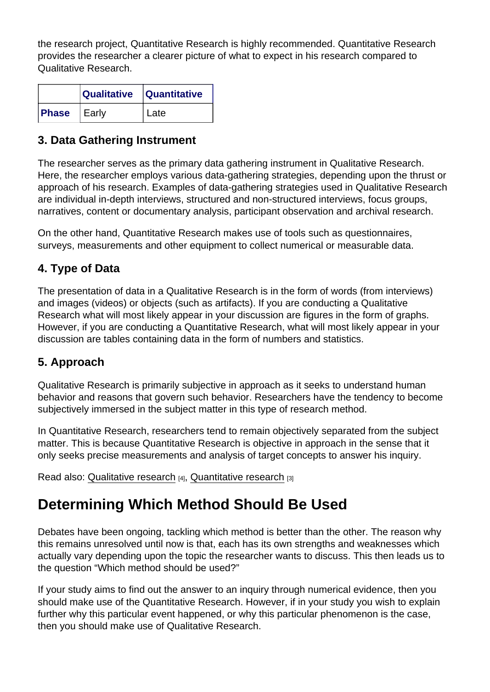the research project, Quantitative Research is highly recommended. Quantitative Research provides the researcher a clearer picture of what to expect in his research compared to Qualitative Research.

|       | <b>Qualitative</b> | <b>Quantitative</b> |
|-------|--------------------|---------------------|
| Phase | Early              | l Late              |

#### 3. Data Gathering Instrument

The researcher serves as the primary data gathering instrument in Qualitative Research. Here, the researcher employs various data-gathering strategies, depending upon the thrust or approach of his research. Examples of data-gathering strategies used in Qualitative Research are individual in-depth interviews, structured and non-structured interviews, focus groups, narratives, content or documentary analysis, participant observation and archival research.

On the other hand, Quantitative Research makes use of tools such as questionnaires, surveys, measurements and other equipment to collect numerical or measurable data.

### 4. Type of Data

The presentation of data in a Qualitative Research is in the form of words (from interviews) and images (videos) or objects (such as artifacts). If you are conducting a Qualitative Research what will most likely appear in your discussion are figures in the form of graphs. However, if you are conducting a Quantitative Research, what will most likely appear in your discussion are tables containing data in the form of numbers and statistics.

#### 5. Approach

Qualitative Research is primarily subjective in approach as it seeks to understand human behavior and reasons that govern such behavior. Researchers have the tendency to become subjectively immersed in the subject matter in this type of research method.

In Quantitative Research, researchers tend to remain objectively separated from the subject matter. This is because Quantitative Research is objective in approach in the sense that it only seeks precise measurements and analysis of target concepts to answer his inquiry.

Read also: [Qualitative research](https://staging.explorable.com/qualitative-research-design) [4], [Quantitative research](https://staging.explorable.com/quantitative-research-design) [3]

## Determining Which Method Should Be Used

Debates have been ongoing, tackling which method is better than the other. The reason why this remains unresolved until now is that, each has its own strengths and weaknesses which actually vary depending upon the topic the researcher wants to discuss. This then leads us to the question "Which method should be used?"

If your study aims to find out the answer to an inquiry through numerical evidence, then you should make use of the Quantitative Research. However, if in your study you wish to explain further why this particular event happened, or why this particular phenomenon is the case, then you should make use of Qualitative Research.